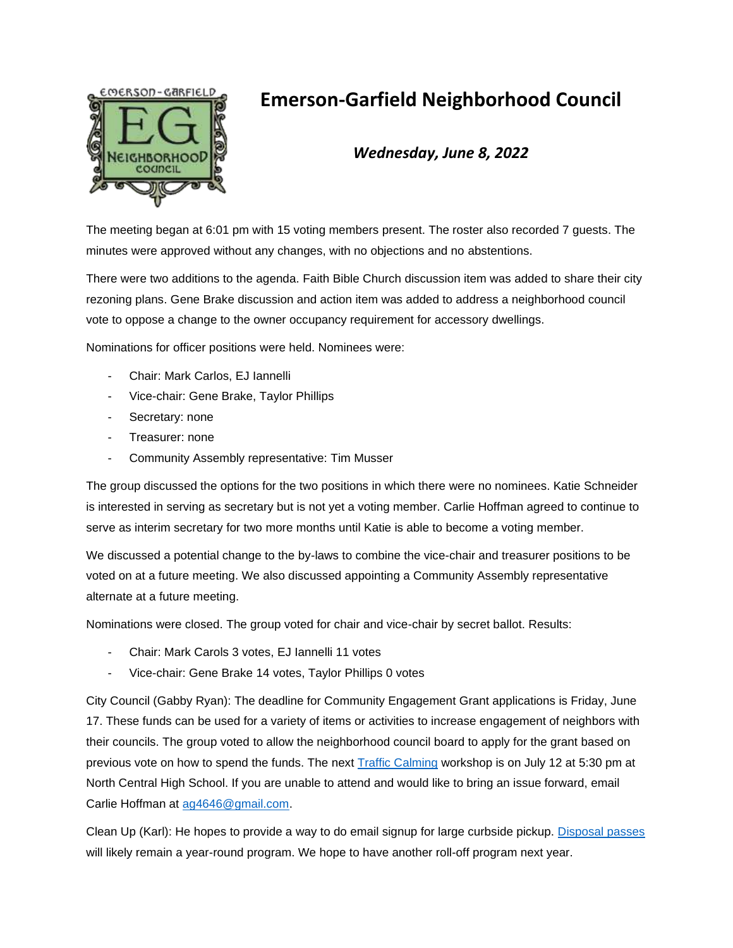

## **Emerson-Garfield Neighborhood Council**

## *Wednesday, June 8, 2022*

The meeting began at 6:01 pm with 15 voting members present. The roster also recorded 7 guests. The minutes were approved without any changes, with no objections and no abstentions.

There were two additions to the agenda. Faith Bible Church discussion item was added to share their city rezoning plans. Gene Brake discussion and action item was added to address a neighborhood council vote to oppose a change to the owner occupancy requirement for accessory dwellings.

Nominations for officer positions were held. Nominees were:

- Chair: Mark Carlos, EJ Iannelli
- Vice-chair: Gene Brake, Taylor Phillips
- Secretary: none
- Treasurer: none
- Community Assembly representative: Tim Musser

The group discussed the options for the two positions in which there were no nominees. Katie Schneider is interested in serving as secretary but is not yet a voting member. Carlie Hoffman agreed to continue to serve as interim secretary for two more months until Katie is able to become a voting member.

We discussed a potential change to the by-laws to combine the vice-chair and treasurer positions to be voted on at a future meeting. We also discussed appointing a Community Assembly representative alternate at a future meeting.

Nominations were closed. The group voted for chair and vice-chair by secret ballot. Results:

- Chair: Mark Carols 3 votes, EJ Iannelli 11 votes
- Vice-chair: Gene Brake 14 votes, Taylor Phillips 0 votes

City Council (Gabby Ryan): The deadline for Community Engagement Grant applications is Friday, June 17. These funds can be used for a variety of items or activities to increase engagement of neighbors with their councils. The group voted to allow the neighborhood council board to apply for the grant based on previous vote on how to spend the funds. The next **Traffic Calming workshop is on July 12 at 5:30 pm** at North Central High School. If you are unable to attend and would like to bring an issue forward, email Carlie Hoffman at [ag4646@gmail.com.](mailto:ag4646@gmail.com)

Clean Up (Karl): He hopes to provide a way to do email signup for large curbside pickup. [Disposal passes](https://my.spokanecity.org/neighborhoods/programs/clean-up/) will likely remain a year-round program. We hope to have another roll-off program next year.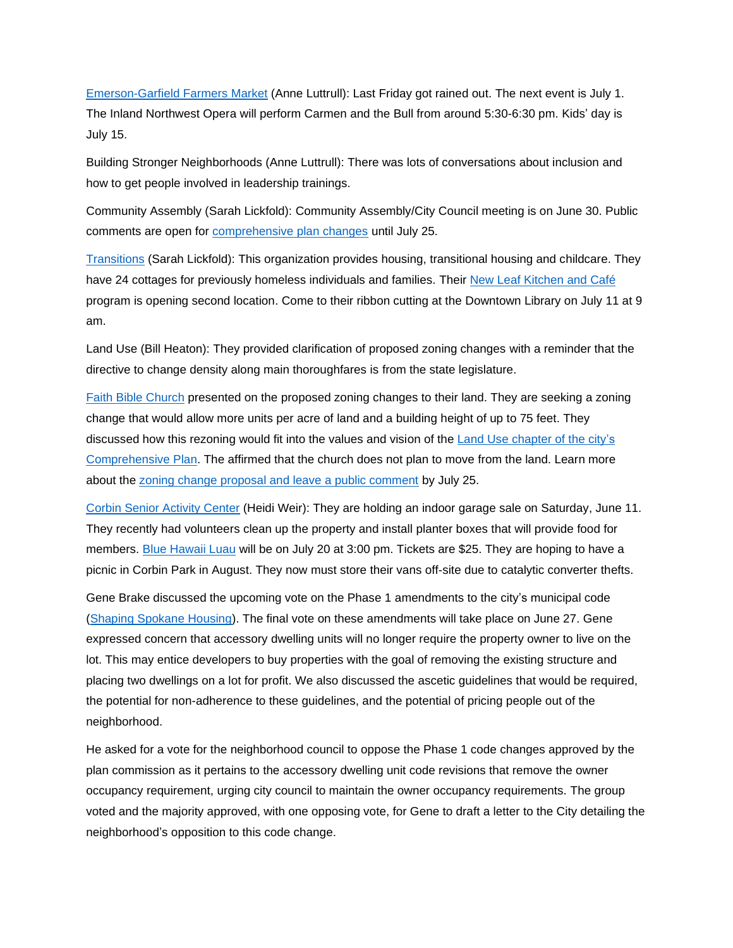[Emerson-Garfield Farmers Market](http://market.emersongarfield.org/) (Anne Luttrull): Last Friday got rained out. The next event is July 1. The Inland Northwest Opera will perform Carmen and the Bull from around 5:30-6:30 pm. Kids' day is July 15.

Building Stronger Neighborhoods (Anne Luttrull): There was lots of conversations about inclusion and how to get people involved in leadership trainings.

Community Assembly (Sarah Lickfold): Community Assembly/City Council meeting is on June 30. Public comments are open for [comprehensive plan changes](https://my.spokanecity.org/projects/land-use/) until July 25.

[Transitions](https://help4women.org/) (Sarah Lickfold): This organization provides housing, transitional housing and childcare. They have 24 cottages for previously homeless individuals and families. Their [New Leaf Kitchen and Café](https://help4women.org/new-leaf-kitchen-cafe/) program is opening second location. Come to their ribbon cutting at the Downtown Library on July 11 at 9 am.

Land Use (Bill Heaton): They provided clarification of proposed zoning changes with a reminder that the directive to change density along main thoroughfares is from the state legislature.

[Faith Bible Church](https://fbchurch.org/) presented on the proposed zoning changes to their land. They are seeking a zoning change that would allow more units per acre of land and a building height of up to 75 feet. They discussed how this rezoning would fit into the values and vision of the [Land Use chapter of the city's](https://static.spokanecity.org/documents/shapingspokane/comprehensive-plan/chapter-3-land-use-v6.pdf)  [Comprehensive Plan.](https://static.spokanecity.org/documents/shapingspokane/comprehensive-plan/chapter-3-land-use-v6.pdf) The affirmed that the church does not plan to move from the land. Learn more about the [zoning change proposal and leave a public comment](https://my.spokanecity.org/projects/2021-2022-proposed-comprehensive-plan-amendments/cora-avenue/) by July 25.

[Corbin Senior Activity Center](https://corbinseniorcenter.org/) (Heidi Weir): They are holding an indoor garage sale on Saturday, June 11. They recently had volunteers clean up the property and install planter boxes that will provide food for members. [Blue Hawaii Luau](https://corbinseniorcenter.org/event/blue-hawaii-luau/) will be on July 20 at 3:00 pm. Tickets are \$25. They are hoping to have a picnic in Corbin Park in August. They now must store their vans off-site due to catalytic converter thefts.

Gene Brake discussed the upcoming vote on the Phase 1 amendments to the city's municipal code [\(Shaping Spokane Housing\)](https://my.spokanecity.org/projects/shaping-spokane-housing/). The final vote on these amendments will take place on June 27. Gene expressed concern that accessory dwelling units will no longer require the property owner to live on the lot. This may entice developers to buy properties with the goal of removing the existing structure and placing two dwellings on a lot for profit. We also discussed the ascetic guidelines that would be required, the potential for non-adherence to these guidelines, and the potential of pricing people out of the neighborhood.

He asked for a vote for the neighborhood council to oppose the Phase 1 code changes approved by the plan commission as it pertains to the accessory dwelling unit code revisions that remove the owner occupancy requirement, urging city council to maintain the owner occupancy requirements. The group voted and the majority approved, with one opposing vote, for Gene to draft a letter to the City detailing the neighborhood's opposition to this code change.